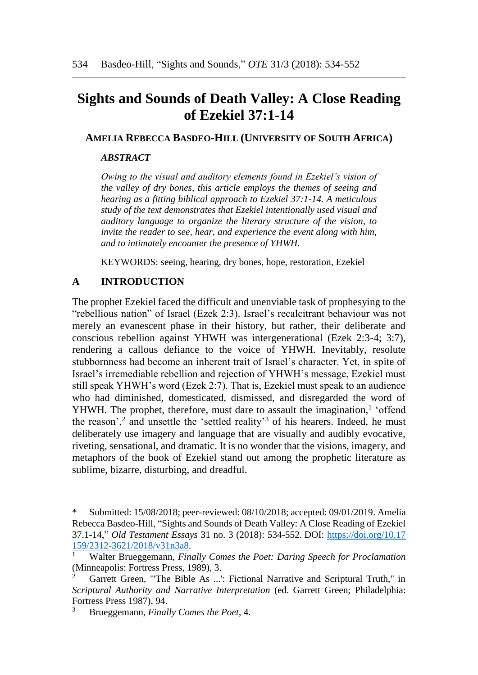# **Sights and Sounds of Death Valley: A Close Reading of Ezekiel 37:1-14**

### **AMELIA REBECCA BASDEO-HILL (UNIVERSITY OF SOUTH AFRICA)**

#### *ABSTRACT*

*Owing to the visual and auditory elements found in Ezekiel's vision of the valley of dry bones, this article employs the themes of seeing and hearing as a fitting biblical approach to Ezekiel 37:1-14. A meticulous study of the text demonstrates that Ezekiel intentionally used visual and auditory language to organize the literary structure of the vision, to invite the reader to see, hear, and experience the event along with him, and to intimately encounter the presence of YHWH.* 

KEYWORDS: seeing, hearing, dry bones, hope, restoration, Ezekiel

# **A INTRODUCTION**

 $\overline{a}$ 

The prophet Ezekiel faced the difficult and unenviable task of prophesying to the "rebellious nation" of Israel (Ezek 2:3). Israel's recalcitrant behaviour was not merely an evanescent phase in their history, but rather, their deliberate and conscious rebellion against YHWH was intergenerational (Ezek 2:3-4; 3:7), rendering a callous defiance to the voice of YHWH. Inevitably, resolute stubbornness had become an inherent trait of Israel's character. Yet, in spite of Israel's irremediable rebellion and rejection of YHWH's message, Ezekiel must still speak YHWH's word (Ezek 2:7). That is, Ezekiel must speak to an audience who had diminished, domesticated, dismissed, and disregarded the word of YHWH. The prophet, therefore, must dare to assault the imagination,<sup>1</sup> 'offend the reason',<sup>2</sup> and unsettle the 'settled reality'<sup>3</sup> of his hearers. Indeed, he must deliberately use imagery and language that are visually and audibly evocative, riveting, sensational, and dramatic. It is no wonder that the visions, imagery, and metaphors of the book of Ezekiel stand out among the prophetic literature as sublime, bizarre, disturbing, and dreadful.

<sup>\*</sup> Submitted: 15/08/2018; peer-reviewed: 08/10/2018; accepted: 09/01/2019. Amelia Rebecca Basdeo-Hill, "Sights and Sounds of Death Valley: A Close Reading of Ezekiel 37.1-14," *Old Testament Essays* 31 no. 3 (2018): 534-552. DOI: [https://doi.org/10.17](https://doi.org/10.17%20159/2312-3621/2018/v31n3a8) [159/2312-3621/2018/v31n3a8.](https://doi.org/10.17%20159/2312-3621/2018/v31n3a8)

<sup>1</sup> Walter Brueggemann, *Finally Comes the Poet: Daring Speech for Proclamation* (Minneapolis: Fortress Press, 1989), 3.

<sup>2</sup> Garrett Green, "'The Bible As ...': Fictional Narrative and Scriptural Truth," in *Scriptural Authority and Narrative Interpretation* (ed. Garrett Green; Philadelphia: Fortress Press 1987), 94.

<sup>3</sup> Brueggemann, *Finally Comes the Poet*, 4.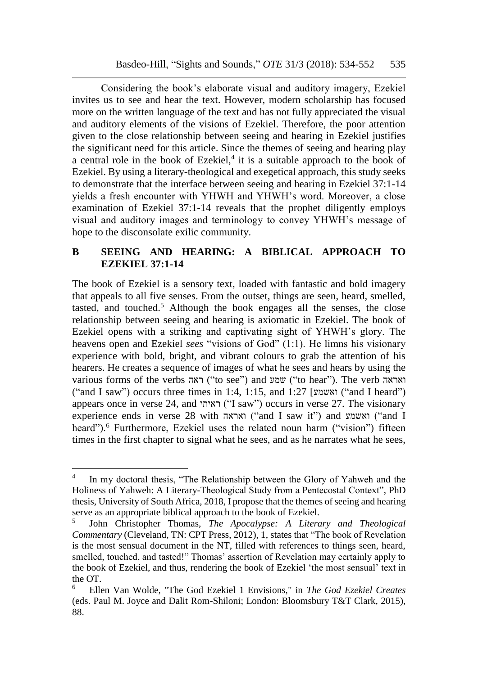Considering the book's elaborate visual and auditory imagery, Ezekiel invites us to see and hear the text. However, modern scholarship has focused more on the written language of the text and has not fully appreciated the visual and auditory elements of the visions of Ezekiel. Therefore, the poor attention given to the close relationship between seeing and hearing in Ezekiel justifies the significant need for this article. Since the themes of seeing and hearing play a central role in the book of Ezekiel, $4$  it is a suitable approach to the book of Ezekiel. By using a literary-theological and exegetical approach, this study seeks to demonstrate that the interface between seeing and hearing in Ezekiel 37:1-14 yields a fresh encounter with YHWH and YHWH's word. Moreover, a close examination of Ezekiel 37:1-14 reveals that the prophet diligently employs visual and auditory images and terminology to convey YHWH's message of hope to the disconsolate exilic community.

# **B SEEING AND HEARING: A BIBLICAL APPROACH TO EZEKIEL 37:1-14**

The book of Ezekiel is a sensory text, loaded with fantastic and bold imagery that appeals to all five senses. From the outset, things are seen, heard, smelled, tasted, and touched.<sup>5</sup> Although the book engages all the senses, the close relationship between seeing and hearing is axiomatic in Ezekiel. The book of Ezekiel opens with a striking and captivating sight of YHWH's glory. The heavens open and Ezekiel *sees* "visions of God" (1:1). He limns his visionary experience with bold, bright, and vibrant colours to grab the attention of his hearers. He creates a sequence of images of what he sees and hears by using the various forms of the verbs ראה") to see") and שמע") to hear"). The verb ואראה ("and I saw") occurs three times in 1:4, 1:15, and 1:27 [ואשמע] ("and I heard") appears once in verse 24, and ראיתי" ("I saw") occurs in verse 27. The visionary experience ends in verse 28 with ואראה") and I saw it") and ואשמע") and I heard").<sup>6</sup> Furthermore, Ezekiel uses the related noun harm ("vision") fifteen times in the first chapter to signal what he sees, and as he narrates what he sees,

<sup>4</sup> In my doctoral thesis, "The Relationship between the Glory of Yahweh and the Holiness of Yahweh: A Literary-Theological Study from a Pentecostal Context", PhD thesis, University of South Africa, 2018, I propose that the themes of seeing and hearing serve as an appropriate biblical approach to the book of Ezekiel.

<sup>5</sup> John Christopher Thomas, *The Apocalypse: A Literary and Theological Commentary* (Cleveland, TN: CPT Press, 2012), 1, states that "The book of Revelation is the most sensual document in the NT, filled with references to things seen, heard, smelled, touched, and tasted!" Thomas' assertion of Revelation may certainly apply to the book of Ezekiel, and thus, rendering the book of Ezekiel 'the most sensual' text in the OT.

<sup>6</sup> Ellen Van Wolde, "The God Ezekiel 1 Envisions," in *The God Ezekiel Creates* (eds. Paul M. Joyce and Dalit Rom-Shiloni; London: Bloomsbury T&T Clark, 2015), 88.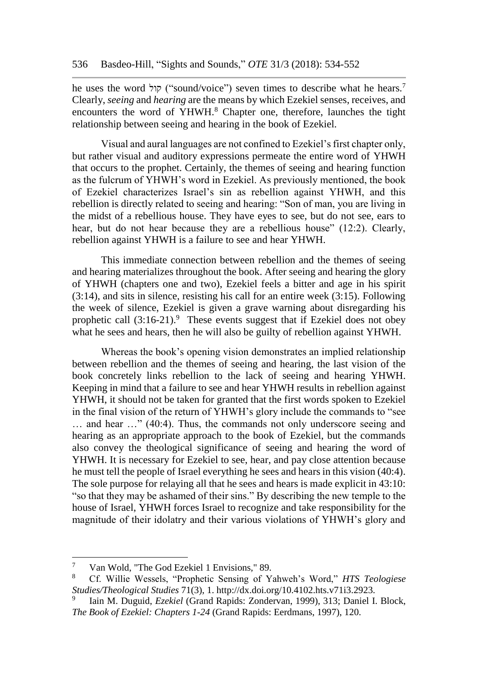he uses the word קול" ("sound/voice") seven times to describe what he hears.<sup>7</sup> Clearly, *seeing* and *hearing* are the means by which Ezekiel senses, receives, and encounters the word of YHWH.<sup>8</sup> Chapter one, therefore, launches the tight relationship between seeing and hearing in the book of Ezekiel.

Visual and aural languages are not confined to Ezekiel's first chapter only, but rather visual and auditory expressions permeate the entire word of YHWH that occurs to the prophet. Certainly, the themes of seeing and hearing function as the fulcrum of YHWH's word in Ezekiel. As previously mentioned, the book of Ezekiel characterizes Israel's sin as rebellion against YHWH, and this rebellion is directly related to seeing and hearing: "Son of man, you are living in the midst of a rebellious house. They have eyes to see, but do not see, ears to hear, but do not hear because they are a rebellious house" (12:2). Clearly, rebellion against YHWH is a failure to see and hear YHWH.

This immediate connection between rebellion and the themes of seeing and hearing materializes throughout the book. After seeing and hearing the glory of YHWH (chapters one and two), Ezekiel feels a bitter and age in his spirit (3:14), and sits in silence, resisting his call for an entire week (3:15). Following the week of silence, Ezekiel is given a grave warning about disregarding his prophetic call  $(3:16-21)$ .<sup>9</sup> These events suggest that if Ezekiel does not obey what he sees and hears, then he will also be guilty of rebellion against YHWH.

Whereas the book's opening vision demonstrates an implied relationship between rebellion and the themes of seeing and hearing, the last vision of the book concretely links rebellion to the lack of seeing and hearing YHWH. Keeping in mind that a failure to see and hear YHWH results in rebellion against YHWH, it should not be taken for granted that the first words spoken to Ezekiel in the final vision of the return of YHWH's glory include the commands to "see … and hear …" (40:4). Thus, the commands not only underscore seeing and hearing as an appropriate approach to the book of Ezekiel, but the commands also convey the theological significance of seeing and hearing the word of YHWH. It is necessary for Ezekiel to see, hear, and pay close attention because he must tell the people of Israel everything he sees and hears in this vision (40:4). The sole purpose for relaying all that he sees and hears is made explicit in 43:10: "so that they may be ashamed of their sins." By describing the new temple to the house of Israel, YHWH forces Israel to recognize and take responsibility for the magnitude of their idolatry and their various violations of YHWH's glory and

 $\overline{7}$ <sup>7</sup> Van Wold, "The God Ezekiel 1 Envisions," 89.

<sup>8</sup> Cf. Willie Wessels, "Prophetic Sensing of Yahweh's Word," *HTS Teologiese Studies/Theological Studies* 71(3), 1. http://dx.doi.org/10.4102.hts.v71i3.2923.

<sup>9</sup> Iain M. Duguid, *Ezekiel* (Grand Rapids: Zondervan, 1999), 313; Daniel I. Block, *The Book of Ezekiel: Chapters 1-24* (Grand Rapids: Eerdmans, 1997), 120.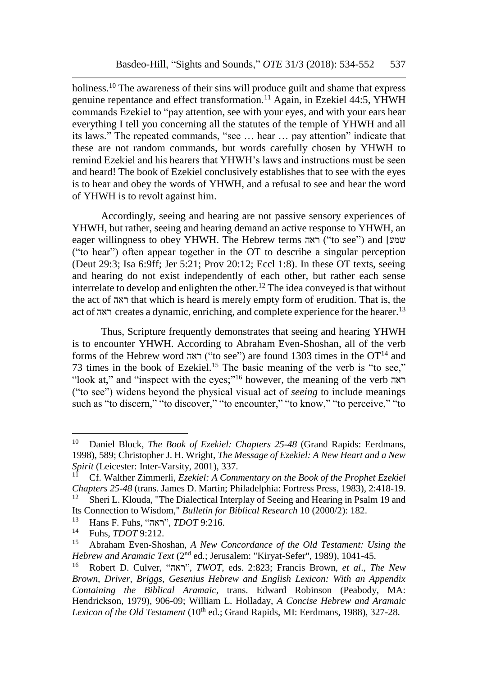holiness.<sup>10</sup> The awareness of their sins will produce guilt and shame that express genuine repentance and effect transformation.<sup>11</sup> Again, in Ezekiel 44:5, YHWH commands Ezekiel to "pay attention, see with your eyes, and with your ears hear everything I tell you concerning all the statutes of the temple of YHWH and all its laws." The repeated commands, "see … hear … pay attention" indicate that these are not random commands, but words carefully chosen by YHWH to remind Ezekiel and his hearers that YHWH's laws and instructions must be seen and heard! The book of Ezekiel conclusively establishes that to see with the eyes is to hear and obey the words of YHWH, and a refusal to see and hear the word of YHWH is to revolt against him.

Accordingly, seeing and hearing are not passive sensory experiences of YHWH, but rather, seeing and hearing demand an active response to YHWH, an eager willingness to obey YHWH. The Hebrew terms ראה ("to see") and [שמע ("to hear") often appear together in the OT to describe a singular perception (Deut 29:3; Isa 6:9ff; Jer 5:21; Prov 20:12; Eccl 1:8). In these OT texts, seeing and hearing do not exist independently of each other, but rather each sense interrelate to develop and enlighten the other.<sup>12</sup> The idea conveyed is that without the act of ראה that which is heard is merely empty form of erudition. That is, the act of ראה creates a dynamic, enriching, and complete experience for the hearer.<sup>13</sup>

Thus, Scripture frequently demonstrates that seeing and hearing YHWH is to encounter YHWH. According to Abraham Even-Shoshan, all of the verb forms of the Hebrew word ראה") ("to see") are found 1303 times in the OT<sup>14</sup> and 73 times in the book of Ezekiel.<sup>15</sup> The basic meaning of the verb is "to see," "look at," and "inspect with the eyes;"<sup>16</sup> however, the meaning of the verb ראה ("to see") widens beyond the physical visual act of *seeing* to include meanings such as "to discern," "to discover," "to encounter," "to know," "to perceive," "to

<sup>10</sup> Daniel Block, *The Book of Ezekiel: Chapters 25-48* (Grand Rapids: Eerdmans, 1998), 589; Christopher J. H. Wright, *The Message of Ezekiel: A New Heart and a New Spirit* (Leicester: Inter-Varsity, 2001), 337.

<sup>11</sup> Cf. Walther Zimmerli, *Ezekiel: A Commentary on the Book of the Prophet Ezekiel Chapters 25-48* (trans. James D. Martin; Philadelphia: Fortress Press, 1983), 2:418-19. <sup>12</sup> Sheri L. Klouda, "The Dialectical Interplay of Seeing and Hearing in Psalm 19 and

Its Connection to Wisdom," *Bulletin for Biblical Research* 10 (2000/2): 182.

<sup>13</sup> Hans F. Fuhs, "ראה", *TDOT* 9:216.

<sup>&</sup>lt;sup>14</sup> Fuhs, *TDOT* 9:212.

<sup>15</sup> Abraham Even-Shoshan, *A New Concordance of the Old Testament: Using the Hebrew and Aramaic Text* (2<sup>nd</sup> ed.; Jerusalem: "Kiryat-Sefer", 1989), 1041-45.

<sup>16</sup> Robert D. Culver, "ראה", *TWOT*, eds. 2:823; Francis Brown, *et al*., *The New Brown, Driver, Briggs, Gesenius Hebrew and English Lexicon: With an Appendix Containing the Biblical Aramaic*, trans. Edward Robinson (Peabody, MA: Hendrickson, 1979), 906-09; William L. Holladay, *A Concise Hebrew and Aramaic Lexicon of the Old Testament* (10<sup>th</sup> ed.; Grand Rapids, MI: Eerdmans, 1988), 327-28.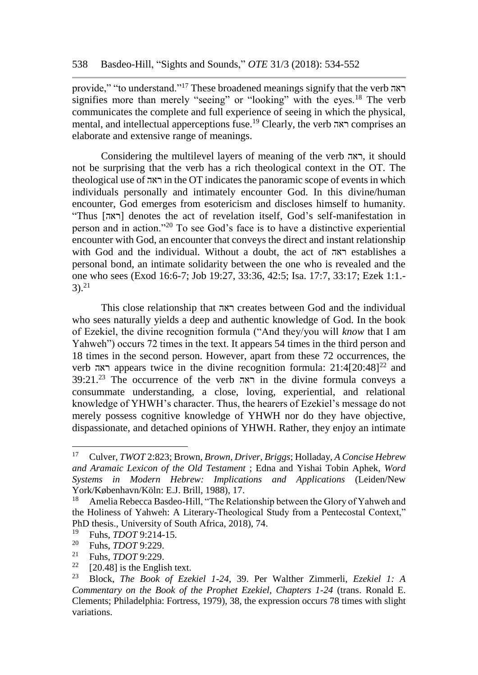provide," "to understand."<sup>17</sup> These broadened meanings signify that the verb ראה signifies more than merely "seeing" or "looking" with the eyes.<sup>18</sup> The verb communicates the complete and full experience of seeing in which the physical, mental, and intellectual apperceptions fuse.<sup>19</sup> Clearly, the verb ראה comprises an elaborate and extensive range of meanings.

Considering the multilevel layers of meaning of the verb ראה, it should not be surprising that the verb has a rich theological context in the OT. The theological use of ראה in the OT indicates the panoramic scope of events in which individuals personally and intimately encounter God. In this divine/human encounter, God emerges from esotericism and discloses himself to humanity. "Thus [ראה [denotes the act of revelation itself, God's self-manifestation in person and in action."<sup>20</sup> To see God's face is to have a distinctive experiential encounter with God, an encounter that conveys the direct and instant relationship with God and the individual. Without a doubt, the act of ראה establishes a personal bond, an intimate solidarity between the one who is revealed and the one who sees (Exod 16:6-7; Job 19:27, 33:36, 42:5; Isa. 17:7, 33:17; Ezek 1:1.-  $3).^{21}$ 

This close relationship that ראה creates between God and the individual who sees naturally yields a deep and authentic knowledge of God. In the book of Ezekiel, the divine recognition formula ("And they/you will *know* that I am Yahweh") occurs 72 times in the text. It appears 54 times in the third person and 18 times in the second person. However, apart from these 72 occurrences, the verb ראה appears twice in the divine recognition formula: 21:4[20:48]<sup>22</sup> and 39:21.<sup>23</sup> The occurrence of the verb ראה in the divine formula conveys a consummate understanding, a close, loving, experiential, and relational knowledge of YHWH's character. Thus, the hearers of Ezekiel's message do not merely possess cognitive knowledge of YHWH nor do they have objective, dispassionate, and detached opinions of YHWH. Rather, they enjoy an intimate

<sup>17</sup> Culver, *TWOT* 2:823; Brown, *Brown, Driver, Briggs*; Holladay, *A Concise Hebrew and Aramaic Lexicon of the Old Testament* ; Edna and Yishai Tobin Aphek, *Word Systems in Modern Hebrew: Implications and Applications* (Leiden/New York/København/Köln: E.J. Brill, 1988), 17.<br><sup>18</sup> Amelia Rebecca Basdeo-Hill "The Relat

Amelia Rebecca Basdeo-Hill, "The Relationship between the Glory of Yahweh and the Holiness of Yahweh: A Literary-Theological Study from a Pentecostal Context," PhD thesis., University of South Africa, 2018), 74.

<sup>&</sup>lt;sup>19</sup> Fuhs, *TDOT* 9:214-15.<br><sup>20</sup> Euhs, *TDOT* 0:220

<sup>&</sup>lt;sup>20</sup> Fuhs, *TDOT* 9:229.<br><sup>21</sup> Euhs, *TDOT* 0:220.

<sup>&</sup>lt;sup>21</sup> Fuhs, *TDOT* 9:229.

<sup>&</sup>lt;sup>22</sup> [20.48] is the English text.<br><sup>23</sup> Plask *The Bask of Eze* 

<sup>23</sup> Block, *The Book of Ezekiel 1-24*, 39. Per Walther Zimmerli, *Ezekiel 1: A Commentary on the Book of the Prophet Ezekiel, Chapters 1-24* (trans. Ronald E. Clements; Philadelphia: Fortress, 1979), 38, the expression occurs 78 times with slight variations.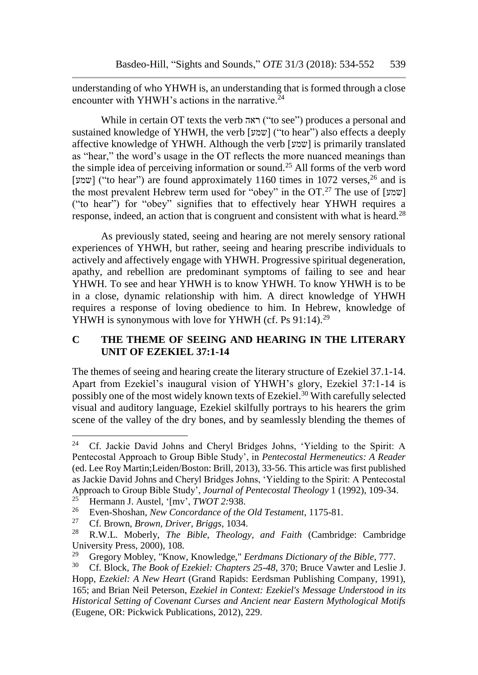understanding of who YHWH is, an understanding that is formed through a close encounter with YHWH's actions in the narrative. $^{24}$ 

While in certain OT texts the verb ראה ("to see") produces a personal and sustained knowledge of YHWH, the verb [שמע"] ("to hear") also effects a deeply affective knowledge of YHWH. Although the verb [שמע [is primarily translated as "hear," the word's usage in the OT reflects the more nuanced meanings than the simple idea of perceiving information or sound.<sup>25</sup> All forms of the verb word [שמע"] ("to hear") are found approximately 1160 times in 1072 verses,  $^{26}$  and is the most prevalent Hebrew term used for "obey" in the OT.<sup>27</sup> The use of [שמען] ("to hear") for "obey" signifies that to effectively hear YHWH requires a response, indeed, an action that is congruent and consistent with what is heard.<sup>28</sup>

As previously stated, seeing and hearing are not merely sensory rational experiences of YHWH, but rather, seeing and hearing prescribe individuals to actively and affectively engage with YHWH. Progressive spiritual degeneration, apathy, and rebellion are predominant symptoms of failing to see and hear YHWH. To see and hear YHWH is to know YHWH. To know YHWH is to be in a close, dynamic relationship with him. A direct knowledge of YHWH requires a response of loving obedience to him. In Hebrew, knowledge of YHWH is synonymous with love for YHWH (cf. Ps 91:14).<sup>29</sup>

## **C THE THEME OF SEEING AND HEARING IN THE LITERARY UNIT OF EZEKIEL 37:1-14**

The themes of seeing and hearing create the literary structure of Ezekiel 37.1-14. Apart from Ezekiel's inaugural vision of YHWH's glory, Ezekiel 37:1-14 is possibly one of the most widely known texts of Ezekiel.<sup>30</sup> With carefully selected visual and auditory language, Ezekiel skilfully portrays to his hearers the grim scene of the valley of the dry bones, and by seamlessly blending the themes of

<sup>24</sup> Cf. Jackie David Johns and Cheryl Bridges Johns, 'Yielding to the Spirit: A Pentecostal Approach to Group Bible Study', in *Pentecostal Hermeneutics: A Reader* (ed. Lee Roy Martin;Leiden/Boston: Brill, 2013), 33-56. This article was first published as Jackie David Johns and Cheryl Bridges Johns, 'Yielding to the Spirit: A Pentecostal Approach to Group Bible Study', *Journal of Pentecostal Theology* 1 (1992), 109-34.

<sup>&</sup>lt;sup>25</sup> Hermann J. Austel, '[mv', *TWOT* 2:938.

<sup>&</sup>lt;sup>26</sup> Even-Shoshan, *New Concordance of the Old Testament*, 1175-81.<br><sup>27</sup> Cf Brown Brown Driver Briggs 1034

<sup>27</sup> Cf. Brown, *Brown, Driver, Briggs*, 1034.

<sup>28</sup> R.W.L. Moberly, *The Bible, Theology, and Faith* (Cambridge: Cambridge University Press, 2000), 108.<br><sup>29</sup> Grogory Mobley, "Know

<sup>&</sup>lt;sup>29</sup> Gregory Mobley, "Know, Knowledge," *Eerdmans Dictionary of the Bible*, 777.<br><sup>30</sup> Cf. Block, *The Book of Ezekiel: Chapters* 25-48, 370; Bruce Vawter and Leslie

<sup>30</sup> Cf. Block, *The Book of Ezekiel: Chapters 25-48*, 370; Bruce Vawter and Leslie J. Hopp, *Ezekiel: A New Heart* (Grand Rapids: Eerdsman Publishing Company, 1991), 165; and Brian Neil Peterson, *Ezekiel in Context: Ezekiel's Message Understood in its Historical Setting of Covenant Curses and Ancient near Eastern Mythological Motifs* (Eugene, OR: Pickwick Publications, 2012), 229.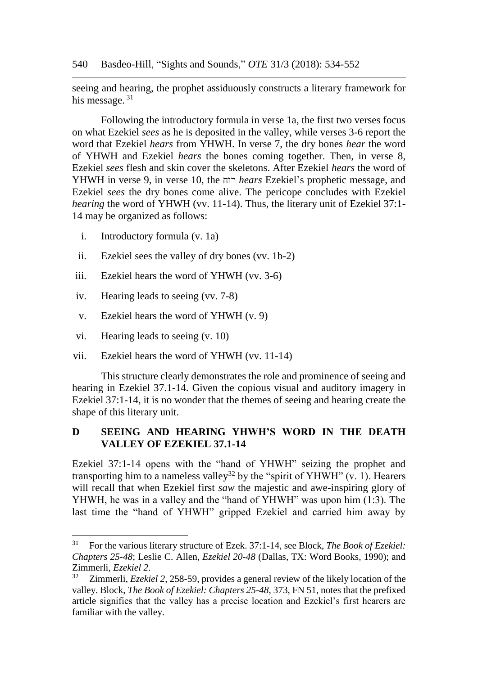540 Basdeo-Hill, "Sights and Sounds," *OTE* 31/3 (2018): 534-552

seeing and hearing, the prophet assiduously constructs a literary framework for his message.<sup>31</sup>

Following the introductory formula in verse 1a, the first two verses focus on what Ezekiel *sees* as he is deposited in the valley, while verses 3-6 report the word that Ezekiel *hears* from YHWH. In verse 7, the dry bones *hear* the word of YHWH and Ezekiel *hears* the bones coming together. Then, in verse 8, Ezekiel *sees* flesh and skin cover the skeletons. After Ezekiel *hears* the word of YHWH in verse 9, in verse 10, the רוח *hears* Ezekiel's prophetic message, and Ezekiel *sees* the dry bones come alive. The pericope concludes with Ezekiel *hearing* the word of YHWH (vv. 11-14). Thus, the literary unit of Ezekiel 37:1-14 may be organized as follows:

- i. Introductory formula (v. 1a)
- ii. Ezekiel sees the valley of dry bones (vv. 1b-2)
- iii. Ezekiel hears the word of YHWH (vv. 3-6)
- iv. Hearing leads to seeing (vv. 7-8)
- v. Ezekiel hears the word of YHWH (v. 9)
- vi. Hearing leads to seeing (v. 10)

l

vii. Ezekiel hears the word of YHWH (vv. 11-14)

This structure clearly demonstrates the role and prominence of seeing and hearing in Ezekiel 37.1-14. Given the copious visual and auditory imagery in Ezekiel 37:1-14, it is no wonder that the themes of seeing and hearing create the shape of this literary unit.

# **D SEEING AND HEARING YHWH'S WORD IN THE DEATH VALLEY OF EZEKIEL 37.1-14**

Ezekiel 37:1-14 opens with the "hand of YHWH" seizing the prophet and transporting him to a nameless valley<sup>32</sup> by the "spirit of YHWH"  $(v. 1)$ . Hearers will recall that when Ezekiel first *saw* the majestic and awe-inspiring glory of YHWH, he was in a valley and the "hand of YHWH" was upon him (1:3). The last time the "hand of YHWH" gripped Ezekiel and carried him away by

<sup>31</sup> For the various literary structure of Ezek. 37:1-14, see Block, *The Book of Ezekiel: Chapters 25-48*; Leslie C. Allen, *Ezekiel 20-48* (Dallas, TX: Word Books, 1990); and Zimmerli, *Ezekiel 2*.

<sup>32</sup> Zimmerli, *Ezekiel 2*, 258-59, provides a general review of the likely location of the valley. Block, *The Book of Ezekiel: Chapters 25-48*, 373, FN 51, notes that the prefixed article signifies that the valley has a precise location and Ezekiel's first hearers are familiar with the valley.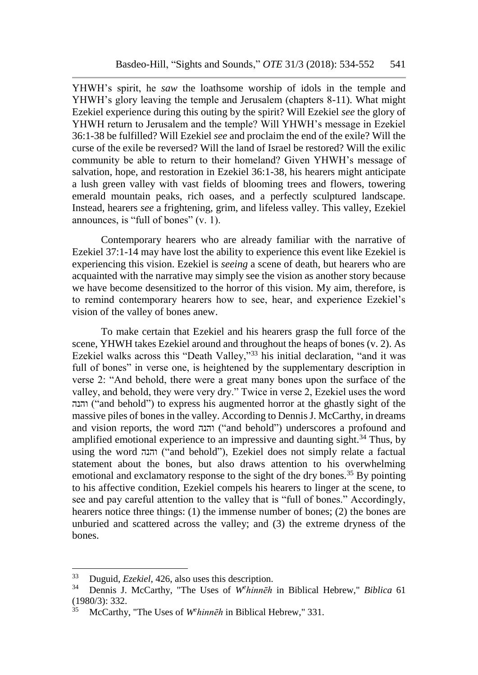YHWH's spirit, he *saw* the loathsome worship of idols in the temple and YHWH's glory leaving the temple and Jerusalem (chapters 8-11). What might Ezekiel experience during this outing by the spirit? Will Ezekiel *see* the glory of YHWH return to Jerusalem and the temple? Will YHWH's message in Ezekiel 36:1-38 be fulfilled? Will Ezekiel *see* and proclaim the end of the exile? Will the curse of the exile be reversed? Will the land of Israel be restored? Will the exilic community be able to return to their homeland? Given YHWH's message of salvation, hope, and restoration in Ezekiel 36:1-38, his hearers might anticipate a lush green valley with vast fields of blooming trees and flowers, towering emerald mountain peaks, rich oases, and a perfectly sculptured landscape. Instead, hearers *see* a frightening, grim, and lifeless valley. This valley, Ezekiel announces, is "full of bones" (v. 1).

Contemporary hearers who are already familiar with the narrative of Ezekiel 37:1-14 may have lost the ability to experience this event like Ezekiel is experiencing this vision. Ezekiel is *seeing* a scene of death, but hearers who are acquainted with the narrative may simply see the vision as another story because we have become desensitized to the horror of this vision. My aim, therefore, is to remind contemporary hearers how to see, hear, and experience Ezekiel's vision of the valley of bones anew.

To make certain that Ezekiel and his hearers grasp the full force of the scene, YHWH takes Ezekiel around and throughout the heaps of bones (v. 2). As Ezekiel walks across this "Death Valley,"<sup>33</sup> his initial declaration, "and it was full of bones" in verse one, is heightened by the supplementary description in verse 2: "And behold, there were a great many bones upon the surface of the valley, and behold, they were very dry." Twice in verse 2, Ezekiel uses the word והנה") and behold") to express his augmented horror at the ghastly sight of the massive piles of bones in the valley. According to Dennis J. McCarthy, in dreams and vision reports, the word והנה") and behold") underscores a profound and amplified emotional experience to an impressive and daunting sight.<sup>34</sup> Thus, by using the word והנה") and behold"), Ezekiel does not simply relate a factual statement about the bones, but also draws attention to his overwhelming emotional and exclamatory response to the sight of the dry bones.<sup>35</sup> By pointing to his affective condition, Ezekiel compels his hearers to linger at the scene, to see and pay careful attention to the valley that is "full of bones." Accordingly, hearers notice three things: (1) the immense number of bones; (2) the bones are unburied and scattered across the valley; and (3) the extreme dryness of the bones.

<sup>&</sup>lt;sup>33</sup> Duguid, *Ezekiel*, 426, also uses this description.<br><sup>34</sup> Dennis J. McCarthy, "The Uses of W<sup>e</sup>kinnah

<sup>34</sup> Dennis J. McCarthy, "The Uses of *W<sup>e</sup> hinnēh* in Biblical Hebrew," *Biblica* 61 (1980/3): 332.

<sup>35</sup> McCarthy, "The Uses of *W<sup>e</sup> hinnēh* in Biblical Hebrew," 331.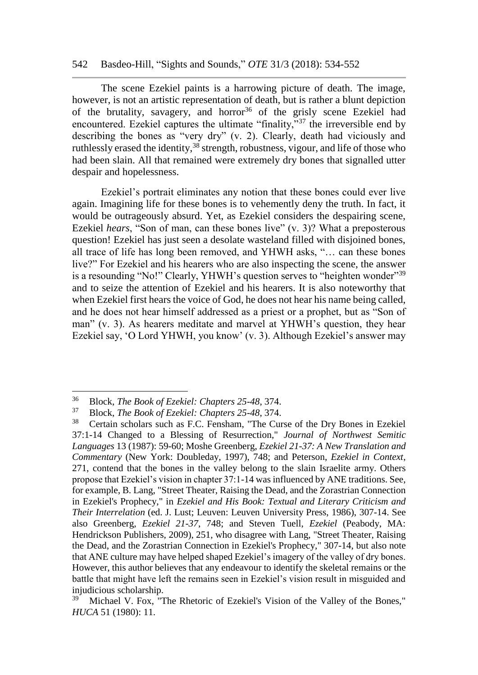#### 542 Basdeo-Hill, "Sights and Sounds," *OTE* 31/3 (2018): 534-552

The scene Ezekiel paints is a harrowing picture of death. The image, however, is not an artistic representation of death, but is rather a blunt depiction of the brutality, savagery, and horror<sup>36</sup> of the grisly scene Ezekiel had encountered. Ezekiel captures the ultimate "finality,"<sup>37</sup> the irreversible end by describing the bones as "very dry" (v. 2). Clearly, death had viciously and ruthlessly erased the identity,<sup>38</sup> strength, robustness, vigour, and life of those who had been slain. All that remained were extremely dry bones that signalled utter despair and hopelessness.

Ezekiel's portrait eliminates any notion that these bones could ever live again. Imagining life for these bones is to vehemently deny the truth. In fact, it would be outrageously absurd. Yet, as Ezekiel considers the despairing scene, Ezekiel *hears*, "Son of man, can these bones live" (v. 3)? What a preposterous question! Ezekiel has just seen a desolate wasteland filled with disjoined bones, all trace of life has long been removed, and YHWH asks, "… can these bones live?" For Ezekiel and his hearers who are also inspecting the scene, the answer is a resounding "No!" Clearly, YHWH's question serves to "heighten wonder"<sup>39</sup> and to seize the attention of Ezekiel and his hearers. It is also noteworthy that when Ezekiel first hears the voice of God, he does not hear his name being called, and he does not hear himself addressed as a priest or a prophet, but as "Son of man" (v. 3). As hearers meditate and marvel at YHWH's question, they hear Ezekiel say, 'O Lord YHWH, you know' (v. 3). Although Ezekiel's answer may

<sup>36</sup> Block, *The Book of Ezekiel: Chapters 25-48*, 374.

<sup>37</sup> Block, *The Book of Ezekiel: Chapters 25-48*, 374.

<sup>38</sup> Certain scholars such as F.C. Fensham, "The Curse of the Dry Bones in Ezekiel 37:1-14 Changed to a Blessing of Resurrection," *Journal of Northwest Semitic Languages* 13 (1987): 59-60; Moshe Greenberg, *Ezekiel 21-37: A New Translation and Commentary* (New York: Doubleday, 1997), 748; and Peterson, *Ezekiel in Context*, 271, contend that the bones in the valley belong to the slain Israelite army. Others propose that Ezekiel's vision in chapter 37:1-14 was influenced by ANE traditions. See, for example, B. Lang, "Street Theater, Raising the Dead, and the Zorastrian Connection in Ezekiel's Prophecy," in *Ezekiel and His Book: Textual and Literary Criticism and Their Interrelation* (ed. J. Lust; Leuven: Leuven University Press, 1986), 307-14. See also Greenberg, *Ezekiel 21-37*, 748; and Steven Tuell, *Ezekiel* (Peabody, MA: Hendrickson Publishers, 2009), 251, who disagree with Lang, "Street Theater, Raising the Dead, and the Zorastrian Connection in Ezekiel's Prophecy," 307-14, but also note that ANE culture may have helped shaped Ezekiel's imagery of the valley of dry bones. However, this author believes that any endeavour to identify the skeletal remains or the battle that might have left the remains seen in Ezekiel's vision result in misguided and injudicious scholarship.

 $39$  Michael V. Fox, "The Rhetoric of Ezekiel's Vision of the Valley of the Bones," *HUCA* 51 (1980): 11.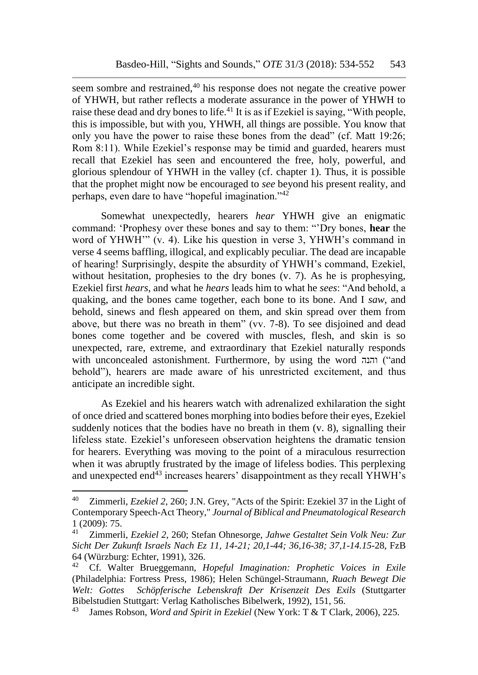seem sombre and restrained,<sup>40</sup> his response does not negate the creative power of YHWH, but rather reflects a moderate assurance in the power of YHWH to raise these dead and dry bones to life.<sup>41</sup> It is as if Ezekiel is saying, "With people, this is impossible, but with you, YHWH, all things are possible. You know that only you have the power to raise these bones from the dead" (cf. Matt 19:26; Rom 8:11). While Ezekiel's response may be timid and guarded, hearers must recall that Ezekiel has seen and encountered the free, holy, powerful, and glorious splendour of YHWH in the valley (cf. chapter 1). Thus, it is possible that the prophet might now be encouraged to *see* beyond his present reality, and perhaps, even dare to have "hopeful imagination."<sup>42</sup>

Somewhat unexpectedly, hearers *hear* YHWH give an enigmatic command: 'Prophesy over these bones and say to them: "'Dry bones, **hear** the word of YHWH'" (v. 4). Like his question in verse 3, YHWH's command in verse 4 seems baffling, illogical, and explicably peculiar. The dead are incapable of hearing! Surprisingly, despite the absurdity of YHWH's command, Ezekiel, without hesitation, prophesies to the dry bones (v. 7). As he is prophesying, Ezekiel first *hears*, and what he *hears* leads him to what he *sees*: "And behold, a quaking, and the bones came together, each bone to its bone. And I *saw*, and behold, sinews and flesh appeared on them, and skin spread over them from above, but there was no breath in them" (vv. 7-8). To see disjoined and dead bones come together and be covered with muscles, flesh, and skin is so unexpected, rare, extreme, and extraordinary that Ezekiel naturally responds with unconcealed astonishment. Furthermore, by using the word והנה ("and behold"), hearers are made aware of his unrestricted excitement, and thus anticipate an incredible sight.

As Ezekiel and his hearers watch with adrenalized exhilaration the sight of once dried and scattered bones morphing into bodies before their eyes, Ezekiel suddenly notices that the bodies have no breath in them (v. 8), signalling their lifeless state. Ezekiel's unforeseen observation heightens the dramatic tension for hearers. Everything was moving to the point of a miraculous resurrection when it was abruptly frustrated by the image of lifeless bodies. This perplexing and unexpected end $43$  increases hearers' disappointment as they recall YHWH's

<sup>40</sup> Zimmerli, *Ezekiel 2*, 260; J.N. Grey, "Acts of the Spirit: Ezekiel 37 in the Light of Contemporary Speech-Act Theory," *Journal of Biblical and Pneumatological Research*  $1 (2009): 75.$ <sup>41</sup> Zimmerli

<sup>41</sup> Zimmerli, *Ezekiel 2*, 260; Stefan Ohnesorge, *Jahwe Gestaltet Sein Volk Neu: Zur Sicht Der Zukunft Israels Nach Ez 11, 14-21; 20,1-44; 36,16-38; 37,1-14.15-*28, FzB 64 (Würzburg: Echter, 1991), 326.

<sup>42</sup> Cf. Walter Brueggemann, *Hopeful Imagination: Prophetic Voices in Exile* (Philadelphia: Fortress Press, 1986); Helen Schüngel-Straumann, *Ruach Bewegt Die Welt: Gottes Schöpferische Lebenskraft Der Krisenzeit Des Exils* (Stuttgarter Bibelstudien Stuttgart: Verlag Katholisches Bibelwerk, 1992), 151, 56.

<sup>43</sup> James Robson, *Word and Spirit in Ezekiel* (New York: T & T Clark, 2006), 225.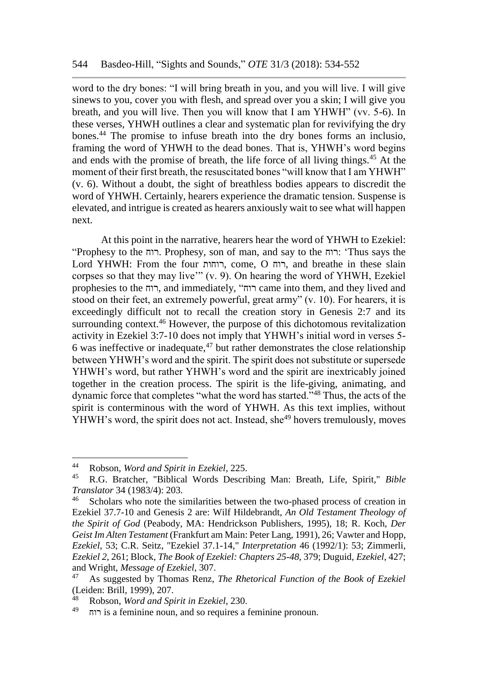word to the dry bones: "I will bring breath in you, and you will live. I will give sinews to you, cover you with flesh, and spread over you a skin; I will give you breath, and you will live. Then you will know that I am YHWH" (vv. 5-6). In these verses, YHWH outlines a clear and systematic plan for revivifying the dry bones.<sup>44</sup> The promise to infuse breath into the dry bones forms an inclusio, framing the word of YHWH to the dead bones. That is, YHWH's word begins and ends with the promise of breath, the life force of all living things.<sup>45</sup> At the moment of their first breath, the resuscitated bones "will know that I am YHWH" (v. 6). Without a doubt, the sight of breathless bodies appears to discredit the word of YHWH. Certainly, hearers experience the dramatic tension. Suspense is elevated, and intrigue is created as hearers anxiously wait to see what will happen next.

At this point in the narrative, hearers hear the word of YHWH to Ezekiel: "Prophesy to the רוח. Prophesy, son of man, and say to the רוח:' Thus says the Lord YHWH: From the four רוחות, come, O רוח, and breathe in these slain corpses so that they may live'" (v. 9). On hearing the word of YHWH, Ezekiel prophesies to the רוח, and immediately, "רוח came into them, and they lived and stood on their feet, an extremely powerful, great army" (v. 10). For hearers, it is exceedingly difficult not to recall the creation story in Genesis 2:7 and its surrounding context.<sup>46</sup> However, the purpose of this dichotomous revitalization activity in Ezekiel 3:7-10 does not imply that YHWH's initial word in verses 5- 6 was ineffective or inadequate,  $47$  but rather demonstrates the close relationship between YHWH's word and the spirit. The spirit does not substitute or supersede YHWH's word, but rather YHWH's word and the spirit are inextricably joined together in the creation process. The spirit is the life-giving, animating, and dynamic force that completes "what the word has started."<sup>48</sup> Thus, the acts of the spirit is conterminous with the word of YHWH. As this text implies, without YHWH's word, the spirit does not act. Instead, she<sup>49</sup> hovers tremulously, moves

<sup>44</sup> Robson, *Word and Spirit in Ezekiel*, 225.

<sup>45</sup> R.G. Bratcher, "Biblical Words Describing Man: Breath, Life, Spirit," *Bible Translator* 34 (1983/4): 203.

Scholars who note the similarities between the two-phased process of creation in Ezekiel 37.7-10 and Genesis 2 are: Wilf Hildebrandt, *An Old Testament Theology of the Spirit of God* (Peabody, MA: Hendrickson Publishers, 1995), 18; R. Koch, *Der Geist Im Alten Testament* (Frankfurt am Main: Peter Lang, 1991), 26; Vawter and Hopp, *Ezekiel*, 53; C.R. Seitz, "Ezekiel 37.1-14," *Interpretation* 46 (1992/1): 53; Zimmerli, *Ezekiel 2*, 261; Block, *The Book of Ezekiel: Chapters 25-48*, 379; Duguid, *Ezekiel*, 427; and Wright, *Message of Ezekiel*, 307.

<sup>47</sup> As suggested by Thomas Renz, *The Rhetorical Function of the Book of Ezekiel* (Leiden: Brill, 1999), 207.

<sup>48</sup> Robson, *Word and Spirit in Ezekiel*, 230.

<sup>49</sup> רוח is a feminine noun, and so requires a feminine pronoun.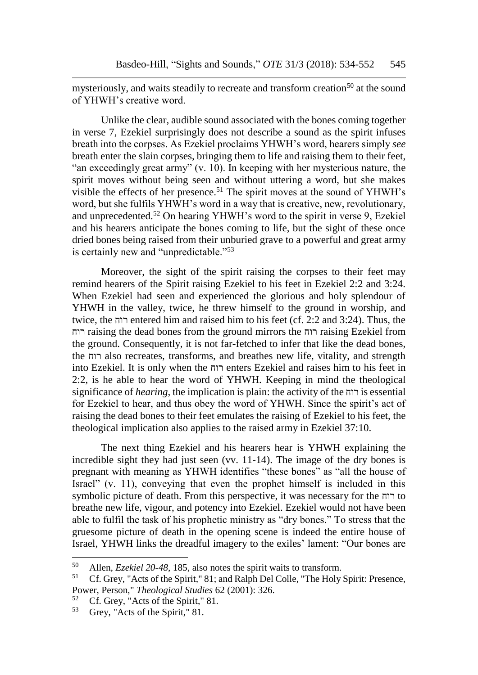mysteriously, and waits steadily to recreate and transform creation<sup>50</sup> at the sound of YHWH's creative word.

Unlike the clear, audible sound associated with the bones coming together in verse 7, Ezekiel surprisingly does not describe a sound as the spirit infuses breath into the corpses. As Ezekiel proclaims YHWH's word, hearers simply *see* breath enter the slain corpses, bringing them to life and raising them to their feet, "an exceedingly great army" (v. 10). In keeping with her mysterious nature, the spirit moves without being seen and without uttering a word, but she makes visible the effects of her presence.<sup>51</sup> The spirit moves at the sound of YHWH's word, but she fulfils YHWH's word in a way that is creative, new, revolutionary, and unprecedented.<sup>52</sup> On hearing YHWH's word to the spirit in verse 9, Ezekiel and his hearers anticipate the bones coming to life, but the sight of these once dried bones being raised from their unburied grave to a powerful and great army is certainly new and "unpredictable."<sup>53</sup>

Moreover, the sight of the spirit raising the corpses to their feet may remind hearers of the Spirit raising Ezekiel to his feet in Ezekiel 2:2 and 3:24. When Ezekiel had seen and experienced the glorious and holy splendour of YHWH in the valley, twice, he threw himself to the ground in worship, and twice, the רוח entered him and raised him to his feet (cf. 2:2 and 3:24). Thus, the רוח raising the dead bones from the ground mirrors the רוח raising Ezekiel from the ground. Consequently, it is not far-fetched to infer that like the dead bones, the רוח also recreates, transforms, and breathes new life, vitality, and strength into Ezekiel. It is only when the רוח enters Ezekiel and raises him to his feet in 2:2, is he able to hear the word of YHWH. Keeping in mind the theological significance of *hearing*, the implication is plain: the activity of the רוח is essential for Ezekiel to hear, and thus obey the word of YHWH. Since the spirit's act of raising the dead bones to their feet emulates the raising of Ezekiel to his feet, the theological implication also applies to the raised army in Ezekiel 37:10.

The next thing Ezekiel and his hearers hear is YHWH explaining the incredible sight they had just seen (vv. 11-14). The image of the dry bones is pregnant with meaning as YHWH identifies "these bones" as "all the house of Israel" (v. 11), conveying that even the prophet himself is included in this symbolic picture of death. From this perspective, it was necessary for the רוח to breathe new life, vigour, and potency into Ezekiel. Ezekiel would not have been able to fulfil the task of his prophetic ministry as "dry bones." To stress that the gruesome picture of death in the opening scene is indeed the entire house of Israel, YHWH links the dreadful imagery to the exiles' lament: "Our bones are

<sup>50</sup> <sup>50</sup> Allen, *Ezekiel 20-48*, 185, also notes the spirit waits to transform.

<sup>51</sup> Cf. Grey, "Acts of the Spirit," 81; and Ralph Del Colle, "The Holy Spirit: Presence, Power, Person," *Theological Studies* 62 (2001): 326.

<sup>&</sup>lt;sup>52</sup> Cf. Grey, "Acts of the Spirit," 81.<br> $\frac{53}{2}$  Grey, "Acts of the Spirit," 81.

Grey, "Acts of the Spirit," 81.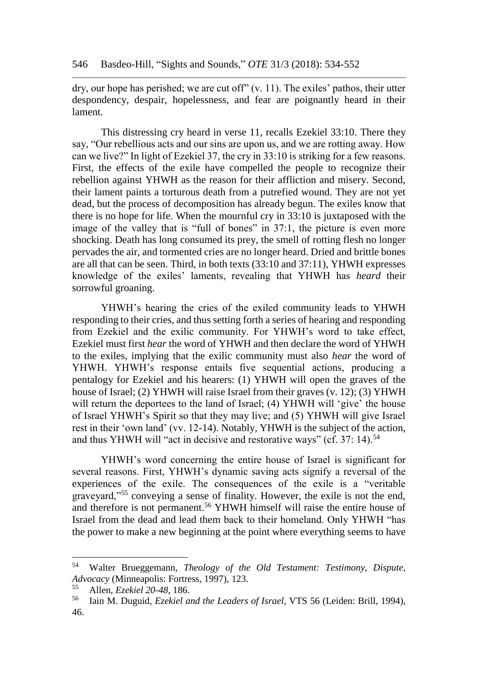dry, our hope has perished; we are cut off" (v. 11). The exiles' pathos, their utter despondency, despair, hopelessness, and fear are poignantly heard in their lament.

This distressing cry heard in verse 11, recalls Ezekiel 33:10. There they say, "Our rebellious acts and our sins are upon us, and we are rotting away. How can we live?" In light of Ezekiel 37, the cry in 33:10 is striking for a few reasons. First, the effects of the exile have compelled the people to recognize their rebellion against YHWH as the reason for their affliction and misery. Second, their lament paints a torturous death from a putrefied wound. They are not yet dead, but the process of decomposition has already begun. The exiles know that there is no hope for life. When the mournful cry in 33:10 is juxtaposed with the image of the valley that is "full of bones" in 37:1, the picture is even more shocking. Death has long consumed its prey, the smell of rotting flesh no longer pervades the air, and tormented cries are no longer heard. Dried and brittle bones are all that can be seen. Third, in both texts (33:10 and 37:11), YHWH expresses knowledge of the exiles' laments, revealing that YHWH has *heard* their sorrowful groaning.

YHWH's hearing the cries of the exiled community leads to YHWH responding to their cries, and thus setting forth a series of hearing and responding from Ezekiel and the exilic community. For YHWH's word to take effect, Ezekiel must first *hear* the word of YHWH and then declare the word of YHWH to the exiles, implying that the exilic community must also *hear* the word of YHWH. YHWH's response entails five sequential actions, producing a pentalogy for Ezekiel and his hearers: (1) YHWH will open the graves of the house of Israel; (2) YHWH will raise Israel from their graves (v. 12); (3) YHWH will return the deportees to the land of Israel; (4) YHWH will 'give' the house of Israel YHWH's Spirit so that they may live; and (5) YHWH will give Israel rest in their 'own land' (vv. 12-14). Notably, YHWH is the subject of the action, and thus YHWH will "act in decisive and restorative ways" (cf. 37: 14).<sup>54</sup>

YHWH's word concerning the entire house of Israel is significant for several reasons. First, YHWH's dynamic saving acts signify a reversal of the experiences of the exile. The consequences of the exile is a "veritable graveyard,"<sup>55</sup> conveying a sense of finality. However, the exile is not the end, and therefore is not permanent.<sup>56</sup> YHWH himself will raise the entire house of Israel from the dead and lead them back to their homeland. Only YHWH "has the power to make a new beginning at the point where everything seems to have

<sup>54</sup> <sup>54</sup> Walter Brueggemann, *Theology of the Old Testament: Testimony, Dispute, Advocacy* (Minneapolis: Fortress, 1997), 123.

<sup>55</sup> Allen, *Ezekiel 20-48*, 186.

<sup>56</sup> Iain M. Duguid, *Ezekiel and the Leaders of Israel*, VTS 56 (Leiden: Brill, 1994), 46.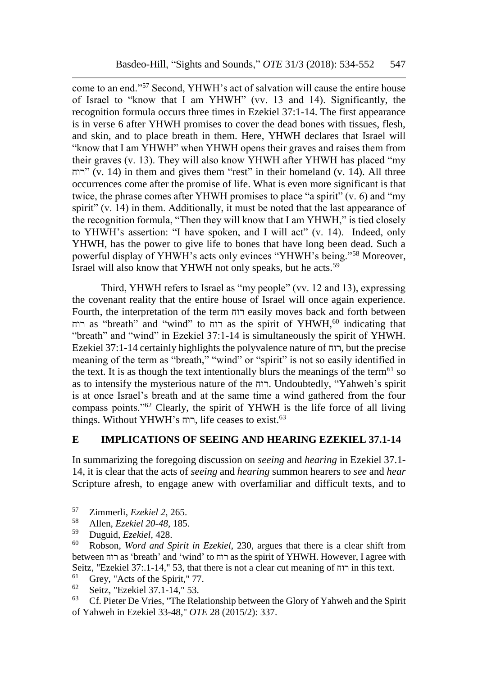come to an end."<sup>57</sup> Second, YHWH's act of salvation will cause the entire house of Israel to "know that I am YHWH" (vv. 13 and 14). Significantly, the recognition formula occurs three times in Ezekiel 37:1-14. The first appearance is in verse 6 after YHWH promises to cover the dead bones with tissues, flesh, and skin, and to place breath in them. Here, YHWH declares that Israel will "know that I am YHWH" when YHWH opens their graves and raises them from their graves (v. 13). They will also know YHWH after YHWH has placed "my רוח) (v. 14) in them and gives them "rest" in their homeland (v. 14). All three occurrences come after the promise of life. What is even more significant is that twice, the phrase comes after YHWH promises to place "a spirit" (v. 6) and "my spirit" (v. 14) in them. Additionally, it must be noted that the last appearance of the recognition formula, "Then they will know that I am YHWH," is tied closely to YHWH's assertion: "I have spoken, and I will act" (v. 14). Indeed, only YHWH, has the power to give life to bones that have long been dead. Such a powerful display of YHWH's acts only evinces "YHWH's being."<sup>58</sup> Moreover, Israel will also know that YHWH not only speaks, but he acts.<sup>59</sup>

Third, YHWH refers to Israel as "my people" (vv. 12 and 13), expressing the covenant reality that the entire house of Israel will once again experience. Fourth, the interpretation of the term רוח easily moves back and forth between רוח as "breath" and "wind" to רוח as the spirit of YHWH,<sup>60</sup> indicating that "breath" and "wind" in Ezekiel 37:1-14 is simultaneously the spirit of YHWH. Ezekiel 37:1-14 certainly highlights the polyvalence nature of רוח, but the precise meaning of the term as "breath," "wind" or "spirit" is not so easily identified in the text. It is as though the text intentionally blurs the meanings of the term<sup>61</sup> so as to intensify the mysterious nature of the רוח. Undoubtedly, "Yahweh's spirit is at once Israel's breath and at the same time a wind gathered from the four compass points."<sup>62</sup> Clearly, the spirit of YHWH is the life force of all living things. Without YHWH's רוח, life ceases to exist.<sup>63</sup>

#### **E IMPLICATIONS OF SEEING AND HEARING EZEKIEL 37.1-14**

In summarizing the foregoing discussion on *seeing* and *hearing* in Ezekiel 37.1- 14, it is clear that the acts of *seeing* and *hearing* summon hearers to *see* and *hear*  Scripture afresh, to engage anew with overfamiliar and difficult texts, and to

<sup>57</sup> Zimmerli, *Ezekiel 2*, 265.

<sup>58</sup> Allen, *Ezekiel 20-48*, 185.

<sup>59</sup> Duguid, *Ezekiel*, 428.

<sup>60</sup> Robson, *Word and Spirit in Ezekiel*, 230, argues that there is a clear shift from between רוח as 'breath' and 'wind' to רוח as the spirit of YHWH. However, I agree with Seitz, "Ezekiel 37:.1-14," 53, that there is not a clear cut meaning of רוח in this text.<br> $\frac{61}{2}$  Grov, "Acts of the Spirit " 77

 $^{61}$  Grey, "Acts of the Spirit," 77.<br> $^{62}$  Seitz, "Ezekiel 37.1.14" 53

<sup>62</sup> Seitz, "Ezekiel 37.1-14," 53.

 $63$  Cf. Pieter De Vries, "The Relationship between the Glory of Yahweh and the Spirit of Yahweh in Ezekiel 33-48," *OTE* 28 (2015/2): 337.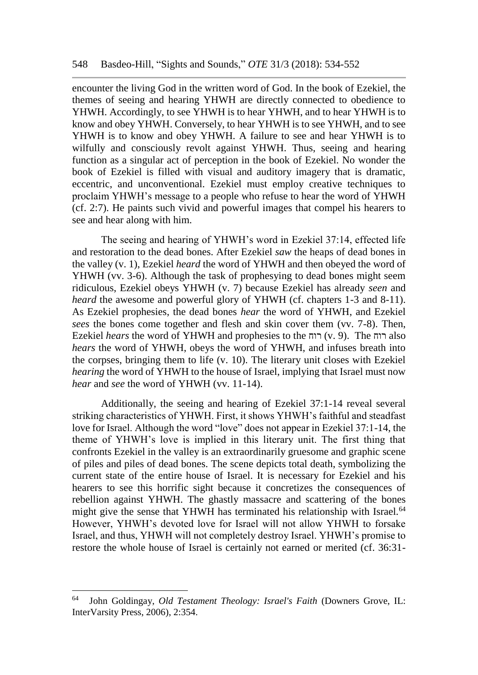encounter the living God in the written word of God. In the book of Ezekiel, the themes of seeing and hearing YHWH are directly connected to obedience to YHWH. Accordingly, to see YHWH is to hear YHWH, and to hear YHWH is to know and obey YHWH. Conversely, to hear YHWH is to see YHWH, and to see YHWH is to know and obey YHWH. A failure to see and hear YHWH is to wilfully and consciously revolt against YHWH. Thus, seeing and hearing function as a singular act of perception in the book of Ezekiel. No wonder the book of Ezekiel is filled with visual and auditory imagery that is dramatic, eccentric, and unconventional. Ezekiel must employ creative techniques to proclaim YHWH's message to a people who refuse to hear the word of YHWH (cf. 2:7). He paints such vivid and powerful images that compel his hearers to see and hear along with him.

The seeing and hearing of YHWH's word in Ezekiel 37:14, effected life and restoration to the dead bones. After Ezekiel *saw* the heaps of dead bones in the valley (v. 1), Ezekiel *heard* the word of YHWH and then obeyed the word of YHWH (vv. 3-6). Although the task of prophesying to dead bones might seem ridiculous, Ezekiel obeys YHWH (v. 7) because Ezekiel has already *seen* and *heard* the awesome and powerful glory of YHWH (cf. chapters 1-3 and 8-11). As Ezekiel prophesies, the dead bones *hear* the word of YHWH, and Ezekiel *sees* the bones come together and flesh and skin cover them (vv. 7-8). Then, Ezekiel *hears* the word of YHWH and prophesies to the רוח) v. 9). The רוח also *hears* the word of YHWH, obeys the word of YHWH, and infuses breath into the corpses, bringing them to life (v. 10). The literary unit closes with Ezekiel *hearing* the word of YHWH to the house of Israel, implying that Israel must now *hear* and *see* the word of YHWH (vv. 11-14).

Additionally, the seeing and hearing of Ezekiel 37:1-14 reveal several striking characteristics of YHWH. First, it shows YHWH's faithful and steadfast love for Israel. Although the word "love" does not appear in Ezekiel 37:1-14, the theme of YHWH's love is implied in this literary unit. The first thing that confronts Ezekiel in the valley is an extraordinarily gruesome and graphic scene of piles and piles of dead bones. The scene depicts total death, symbolizing the current state of the entire house of Israel. It is necessary for Ezekiel and his hearers to see this horrific sight because it concretizes the consequences of rebellion against YHWH. The ghastly massacre and scattering of the bones might give the sense that YHWH has terminated his relationship with Israel.<sup>64</sup> However, YHWH's devoted love for Israel will not allow YHWH to forsake Israel, and thus, YHWH will not completely destroy Israel. YHWH's promise to restore the whole house of Israel is certainly not earned or merited (cf. 36:31-

<sup>64</sup> John Goldingay, *Old Testament Theology: Israel's Faith* (Downers Grove, IL: InterVarsity Press, 2006), 2:354.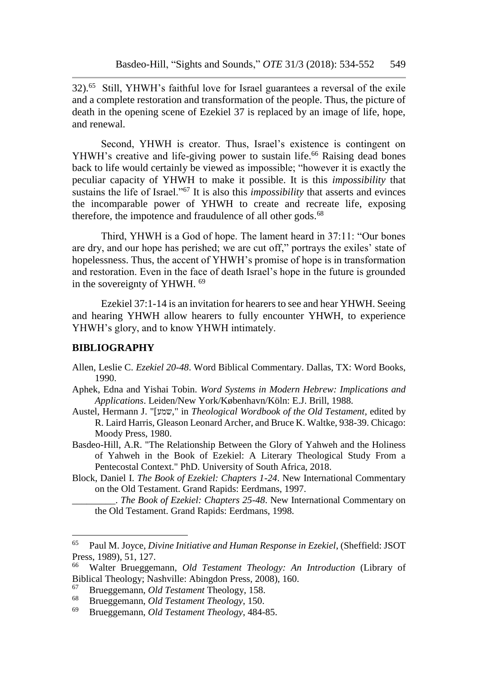32).<sup>65</sup> Still, YHWH's faithful love for Israel guarantees a reversal of the exile and a complete restoration and transformation of the people. Thus, the picture of death in the opening scene of Ezekiel 37 is replaced by an image of life, hope, and renewal.

Second, YHWH is creator. Thus, Israel's existence is contingent on YHWH's creative and life-giving power to sustain life.<sup>66</sup> Raising dead bones back to life would certainly be viewed as impossible; "however it is exactly the peculiar capacity of YHWH to make it possible. It is this *impossibility* that sustains the life of Israel."<sup>67</sup> It is also this *impossibility* that asserts and evinces the incomparable power of YHWH to create and recreate life, exposing therefore, the impotence and fraudulence of all other gods. $68$ 

Third, YHWH is a God of hope. The lament heard in 37:11: "Our bones are dry, and our hope has perished; we are cut off," portrays the exiles' state of hopelessness. Thus, the accent of YHWH's promise of hope is in transformation and restoration. Even in the face of death Israel's hope in the future is grounded in the sovereignty of YHWH. <sup>69</sup>

Ezekiel 37:1-14 is an invitation for hearers to see and hear YHWH. Seeing and hearing YHWH allow hearers to fully encounter YHWH, to experience YHWH's glory, and to know YHWH intimately.

#### **BIBLIOGRAPHY**

- Allen, Leslie C. *Ezekiel 20-48*. Word Biblical Commentary. Dallas, TX: Word Books, 1990.
- Aphek, Edna and Yishai Tobin. *Word Systems in Modern Hebrew: Implications and Applications*. Leiden/New York/København/Köln: E.J. Brill, 1988.
- Austel, Hermann J. "[שמע, "in *Theological Wordbook of the Old Testament*, edited by R. Laird Harris, Gleason Leonard Archer, and Bruce K. Waltke, 938-39. Chicago: Moody Press, 1980.
- Basdeo-Hill, A.R. "The Relationship Between the Glory of Yahweh and the Holiness of Yahweh in the Book of Ezekiel: A Literary Theological Study From a Pentecostal Context." PhD. University of South Africa, 2018.
- Block, Daniel I. *The Book of Ezekiel: Chapters 1-24*. New International Commentary on the Old Testament. Grand Rapids: Eerdmans, 1997.
	- \_\_\_\_\_\_\_\_\_. *The Book of Ezekiel: Chapters 25-48*. New International Commentary on the Old Testament. Grand Rapids: Eerdmans, 1998.

<sup>65</sup> Paul M. Joyce, *Divine Initiative and Human Response in Ezekiel*, (Sheffield: JSOT Press, 1989), 51, 127.

<sup>66</sup> Walter Brueggemann, *Old Testament Theology: An Introduction* (Library of Biblical Theology; Nashville: Abingdon Press, 2008), 160.

<sup>67</sup> Brueggemann, *Old Testament* Theology, 158.

<sup>68</sup> Brueggemann, *Old Testament Theology*, 150.

<sup>69</sup> Brueggemann, *Old Testament Theology*, 484-85.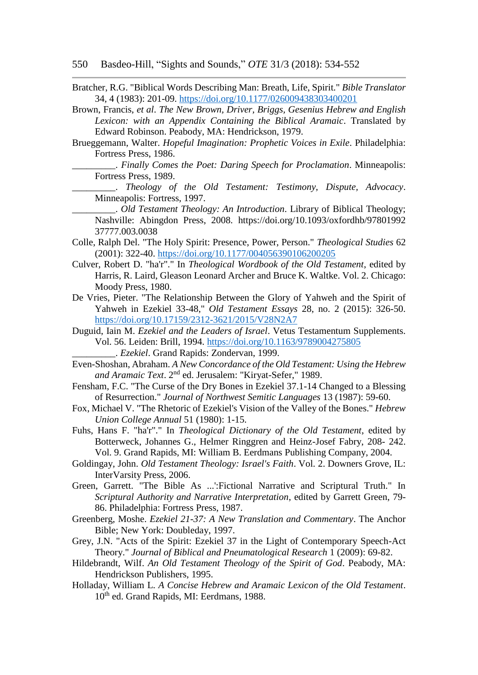- Bratcher, R.G. "Biblical Words Describing Man: Breath, Life, Spirit." *Bible Translator* 34, 4 (1983): 201-09. <https://doi.org/10.1177/026009438303400201>
- Brown, Francis, *et al*. *The New Brown, Driver, Briggs, Gesenius Hebrew and English Lexicon: with an Appendix Containing the Biblical Aramaic*. Translated by Edward Robinson. Peabody, MA: Hendrickson, 1979.
- Brueggemann, Walter. *Hopeful Imagination: Prophetic Voices in Exile*. Philadelphia: Fortress Press, 1986.
	- \_\_\_\_\_\_\_\_\_. *Finally Comes the Poet: Daring Speech for Proclamation*. Minneapolis: Fortress Press, 1989.
	- \_\_\_\_\_\_\_\_\_. *Theology of the Old Testament: Testimony, Dispute, Advocacy*. Minneapolis: Fortress, 1997.
	- \_\_\_\_\_\_\_\_\_. *Old Testament Theology: An Introduction*. Library of Biblical Theology; Nashville: Abingdon Press, 2008. https://doi.org/10.1093/oxfordhb/97801992 37777.003.0038
- Colle, Ralph Del. "The Holy Spirit: Presence, Power, Person." *Theological Studies* 62 (2001): 322-40. <https://doi.org/10.1177/004056390106200205>
- Culver, Robert D. "ha'r"." In *Theological Wordbook of the Old Testament*, edited by Harris, R. Laird, Gleason Leonard Archer and Bruce K. Waltke. Vol. 2. Chicago: Moody Press, 1980.
- De Vries, Pieter. "The Relationship Between the Glory of Yahweh and the Spirit of Yahweh in Ezekiel 33-48," *Old Testament Essays* 28, no. 2 (2015): 326-50. <https://doi.org/10.17159/2312-3621/2015/V28N2A7>
- Duguid, Iain M. *Ezekiel and the Leaders of Israel*. Vetus Testamentum Supplements. Vol. 56. Leiden: Brill, 1994. <https://doi.org/10.1163/9789004275805>
	- \_\_\_\_\_\_\_\_\_. *Ezekiel*. Grand Rapids: Zondervan, 1999.
- Even-Shoshan, Abraham. *A New Concordance of the Old Testament: Using the Hebrew and Aramaic Text*. 2nd ed. Jerusalem: "Kiryat-Sefer," 1989.
- Fensham, F.C. "The Curse of the Dry Bones in Ezekiel 37.1-14 Changed to a Blessing of Resurrection." *Journal of Northwest Semitic Languages* 13 (1987): 59-60.
- Fox, Michael V. "The Rhetoric of Ezekiel's Vision of the Valley of the Bones." *Hebrew Union College Annual* 51 (1980): 1-15.
- Fuhs, Hans F. "ha'r"." In *Theological Dictionary of the Old Testament*, edited by Botterweck, Johannes G., Helmer Ringgren and Heinz-Josef Fabry, 208- 242. Vol. 9. Grand Rapids, MI: William B. Eerdmans Publishing Company, 2004.
- Goldingay, John. *Old Testament Theology: Israel's Faith*. Vol. 2. Downers Grove, IL: InterVarsity Press, 2006.
- Green, Garrett. "The Bible As ...':Fictional Narrative and Scriptural Truth." In *Scriptural Authority and Narrative Interpretation*, edited by Garrett Green, 79- 86. Philadelphia: Fortress Press, 1987.
- Greenberg, Moshe. *Ezekiel 21-37: A New Translation and Commentary*. The Anchor Bible; New York: Doubleday, 1997.
- Grey, J.N. "Acts of the Spirit: Ezekiel 37 in the Light of Contemporary Speech-Act Theory." *Journal of Biblical and Pneumatological Research* 1 (2009): 69-82.
- Hildebrandt, Wilf. *An Old Testament Theology of the Spirit of God*. Peabody, MA: Hendrickson Publishers, 1995.
- Holladay, William L. *A Concise Hebrew and Aramaic Lexicon of the Old Testament*. 10th ed. Grand Rapids, MI: Eerdmans, 1988.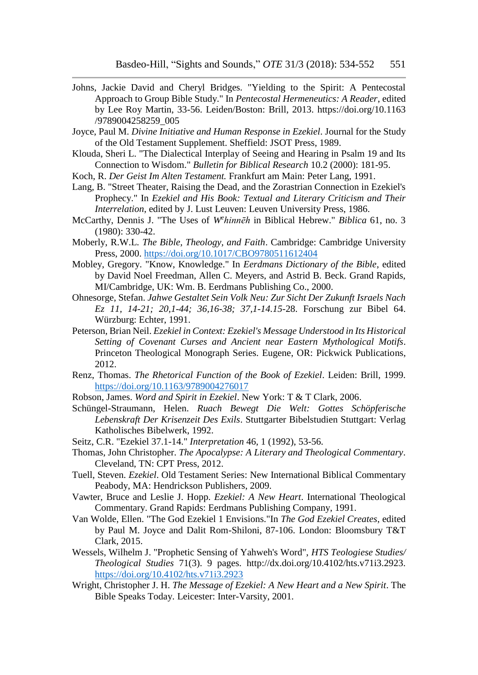- Johns, Jackie David and Cheryl Bridges. "Yielding to the Spirit: A Pentecostal Approach to Group Bible Study." In *Pentecostal Hermeneutics: A Reader*, edited by Lee Roy Martin, 33-56. Leiden/Boston: Brill, 2013. https://doi.org/10.1163 /9789004258259\_005
- Joyce, Paul M. *Divine Initiative and Human Response in Ezekiel*. Journal for the Study of the Old Testament Supplement. Sheffield: JSOT Press, 1989.
- Klouda, Sheri L. "The Dialectical Interplay of Seeing and Hearing in Psalm 19 and Its Connection to Wisdom." *Bulletin for Biblical Research* 10.2 (2000): 181-95.
- Koch, R. *Der Geist Im Alten Testament.* Frankfurt am Main: Peter Lang, 1991.
- Lang, B. "Street Theater, Raising the Dead, and the Zorastrian Connection in Ezekiel's Prophecy." In *Ezekiel and His Book: Textual and Literary Criticism and Their Interrelation*, edited by J. Lust Leuven: Leuven University Press, 1986.
- McCarthy, Dennis J. "The Uses of *W<sup>e</sup> hinnēh* in Biblical Hebrew." *Biblica* 61, no. 3 (1980): 330-42.
- Moberly, R.W.L. *The Bible, Theology, and Faith*. Cambridge: Cambridge University Press, 2000. <https://doi.org/10.1017/CBO9780511612404>
- Mobley, Gregory. "Know, Knowledge." In *Eerdmans Dictionary of the Bible*, edited by David Noel Freedman, Allen C. Meyers, and Astrid B. Beck. Grand Rapids, MI/Cambridge, UK: Wm. B. Eerdmans Publishing Co., 2000.
- Ohnesorge, Stefan. *Jahwe Gestaltet Sein Volk Neu: Zur Sicht Der Zukunft Israels Nach Ez 11, 14-21; 20,1-44; 36,16-38; 37,1-14.15-*28. Forschung zur Bibel 64. Würzburg: Echter, 1991.
- Peterson, Brian Neil. *Ezekiel in Context: Ezekiel's Message Understood in Its Historical Setting of Covenant Curses and Ancient near Eastern Mythological Motifs*. Princeton Theological Monograph Series. Eugene, OR: Pickwick Publications, 2012.
- Renz, Thomas. *The Rhetorical Function of the Book of Ezekiel*. Leiden: Brill, 1999. <https://doi.org/10.1163/9789004276017>
- Robson, James. *Word and Spirit in Ezekiel*. New York: T & T Clark, 2006.
- Schüngel-Straumann, Helen. *Ruach Bewegt Die Welt: Gottes Schöpferische Lebenskraft Der Krisenzeit Des Exils*. Stuttgarter Bibelstudien Stuttgart: Verlag Katholisches Bibelwerk, 1992.
- Seitz, C.R. "Ezekiel 37.1-14." *Interpretation* 46, 1 (1992), 53-56.
- Thomas, John Christopher. *The Apocalypse: A Literary and Theological Commentary*. Cleveland, TN: CPT Press, 2012.
- Tuell, Steven. *Ezekiel*. Old Testament Series: New International Biblical Commentary Peabody, MA: Hendrickson Publishers, 2009.
- Vawter, Bruce and Leslie J. Hopp. *Ezekiel: A New Heart*. International Theological Commentary. Grand Rapids: Eerdmans Publishing Company, 1991.
- Van Wolde, Ellen. "The God Ezekiel 1 Envisions."In *The God Ezekiel Creates*, edited by Paul M. Joyce and Dalit Rom-Shiloni, 87-106. London: Bloomsbury T&T Clark, 2015.
- Wessels, Wilhelm J. "Prophetic Sensing of Yahweh's Word", *HTS Teologiese Studies/ Theological Studies* 71(3). 9 pages. http://dx.doi.org/10.4102/hts.v71i3.2923. <https://doi.org/10.4102/hts.v71i3.2923>
- Wright, Christopher J. H. *The Message of Ezekiel: A New Heart and a New Spirit*. The Bible Speaks Today. Leicester: Inter-Varsity, 2001.